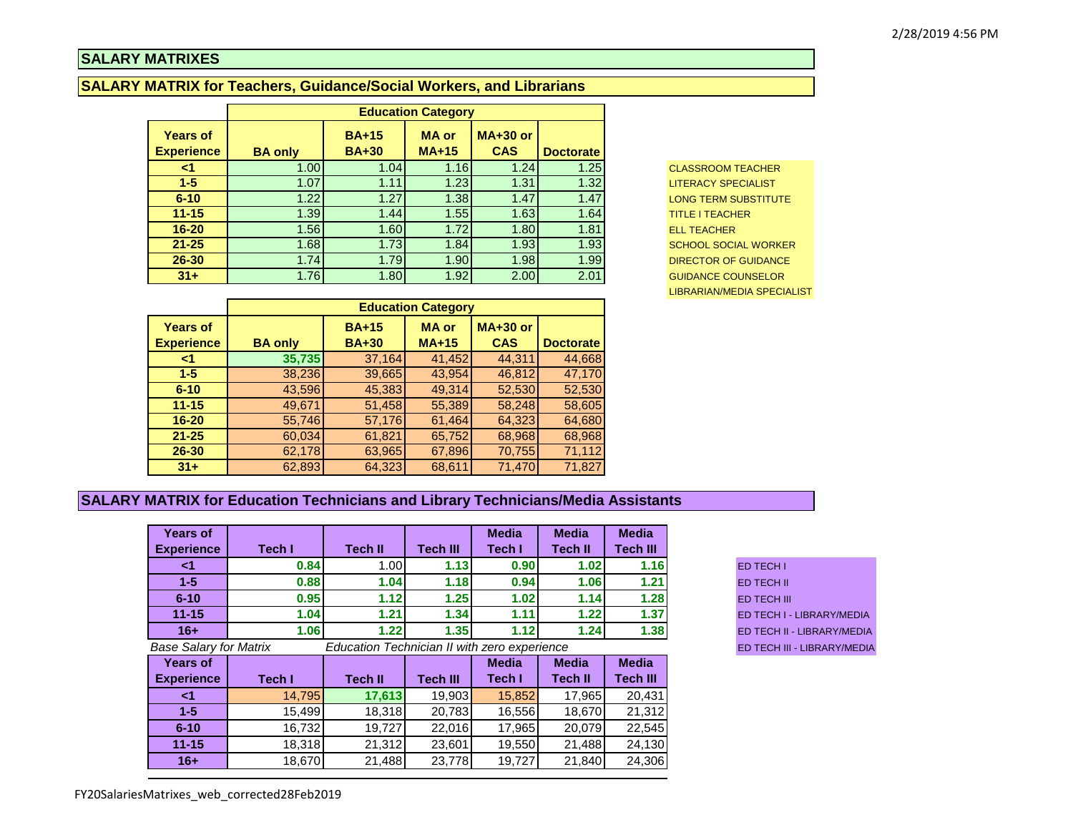# **SALARY MATRIXES**

## **SALARY MATRIX for Teachers, Guidance/Social Workers, and Librarians**

|                                      | <b>Education Category</b> |                              |                         |                          |                  |  |  |
|--------------------------------------|---------------------------|------------------------------|-------------------------|--------------------------|------------------|--|--|
| <b>Years of</b><br><b>Experience</b> | <b>BA only</b>            | <b>BA+15</b><br><b>BA+30</b> | <b>MA</b> or<br>$MA+15$ | $MA+30$ or<br><b>CAS</b> | <b>Doctorate</b> |  |  |
| <1                                   | 1.00                      | 1.04                         | 1.16                    | 1.24                     | 1.25             |  |  |
| $1 - 5$                              | 1.07                      | 1.11                         | 1.23                    | 1.31                     | 1.32             |  |  |
| $6 - 10$                             | 1.22                      | 1.27                         | 1.38                    | 1.47                     | 1.47             |  |  |
| $11 - 15$                            | 1.39                      | 1.44                         | 1.55                    | 1.63                     | 1.64             |  |  |
| $16 - 20$                            | 1.56                      | 1.60                         | 1.72                    | 1.80                     | 1.81             |  |  |
| $21 - 25$                            | 1.68                      | 1.73                         | 1.84                    | 1.93                     | 1.93             |  |  |
| 26-30                                | 1.74                      | 1.79                         | 1.90                    | 1.98                     | 1.99             |  |  |
| $31 +$                               | 1.76                      | 1.80                         | 1.92                    | 2.00                     | 2.01             |  |  |

**CLASSROOM TEACHER LITERACY SPECIALIST LONG TERM SUBSTITUTE TITLE I TEACHER ELL TEACHER 20-25 SCHOOL SOCIAL WORKER DIRECTOR OF GUIDANCE GUIDANCE COUNSELOR** LIBRARIAN/MEDIA SPECIALIST

|                                      | <b>Education Category</b> |                              |                         |                               |                  |  |  |
|--------------------------------------|---------------------------|------------------------------|-------------------------|-------------------------------|------------------|--|--|
| <b>Years of</b><br><b>Experience</b> | <b>BA only</b>            | <b>BA+15</b><br><b>BA+30</b> | <b>MA</b> or<br>$MA+15$ | <b>MA+30 or</b><br><b>CAS</b> | <b>Doctorate</b> |  |  |
| <1                                   | 35,735                    | 37,164                       | 41,452                  | 44,311                        | 44,668           |  |  |
| $1 - 5$                              | 38,236                    | 39,665                       | 43,954                  | 46,812                        | 47,170           |  |  |
| $6 - 10$                             | 43,596                    | 45,383                       | 49,314                  | 52,530                        | 52,530           |  |  |
| $11 - 15$                            | 49,671                    | 51,458                       | 55,389                  | 58,248                        | 58,605           |  |  |
| $16 - 20$                            | 55,746                    | 57,176                       | 61,464                  | 64,323                        | 64,680           |  |  |
| $21 - 25$                            | 60,034                    | 61,821                       | 65,752                  | 68,968                        | 68,968           |  |  |
| $26 - 30$                            | 62,178                    | 63,965                       | 67,896                  | 70,755                        | 71,112           |  |  |
| $31 +$                               | 62,893                    | 64,323                       | 68,611                  | 71,470                        | 71,827           |  |  |

## **SALARY MATRIX for Education Technicians and Library Technicians/Media Assistants**

| <b>Years of</b>               |        |                                              |                 | <b>Media</b>  | <b>Media</b> | <b>Media</b>    |
|-------------------------------|--------|----------------------------------------------|-----------------|---------------|--------------|-----------------|
| <b>Experience</b>             | Tech I | <b>Tech II</b>                               | <b>Tech III</b> | <b>Tech I</b> | Tech II      | <b>Tech III</b> |
| <1                            | 0.84   | 1.00                                         | 1.13            | 0.90          | 1.02         | 1.16            |
| $1 - 5$                       | 0.88   | 1.04                                         | 1.18            | 0.94          | 1.06         | 1.21            |
| $6 - 10$                      | 0.95   | 1.12                                         | 1.25            | 1.02          | 1.14         | 1.28            |
| $11 - 15$                     | 1.04   | 1.21                                         | 1.34            | 1.11          | 1.22         | 1.37            |
| $16 +$                        | 1.06   | 1.22                                         | 1.35            | 1.12          | 1.24         | 1.38            |
| <b>Base Salary for Matrix</b> |        | Education Technician II with zero experience |                 |               |              |                 |
| <b>Years of</b>               |        |                                              |                 | <b>Media</b>  | <b>Media</b> | <b>Media</b>    |
| <b>Experience</b>             | Tech I | <b>Tech II</b>                               | <b>Tech III</b> | Tech I        | Tech II      | <b>Tech III</b> |
| <1                            | 14,795 | 17,613                                       | 19,903          | 15,852        | 17,965       | 20,431          |
| $1 - 5$                       | 15,499 | 18,318                                       | 20,783          | 16,556        | 18,670       | 21,312          |
| $6 - 10$                      | 16,732 | 19,727                                       | 22,016          | 17,965        | 20,079       | 22,545          |
| $11 - 15$                     | 18,318 | 21,312                                       | 23,601          | 19,550        | 21,488       | 24,130          |
| $16 +$                        | 18,670 | 21,488                                       | 23,778          | 19,727        | 21,840       | 24,306          |

| ED TECH I                   |
|-----------------------------|
| ED TECH II                  |
| ED TECH III                 |
| ED TECH I - LIBRARY/MEDIA   |
| ED TECH II - LIBRARY/MEDIA  |
| ED TECH III - LIBRARY/MEDIA |